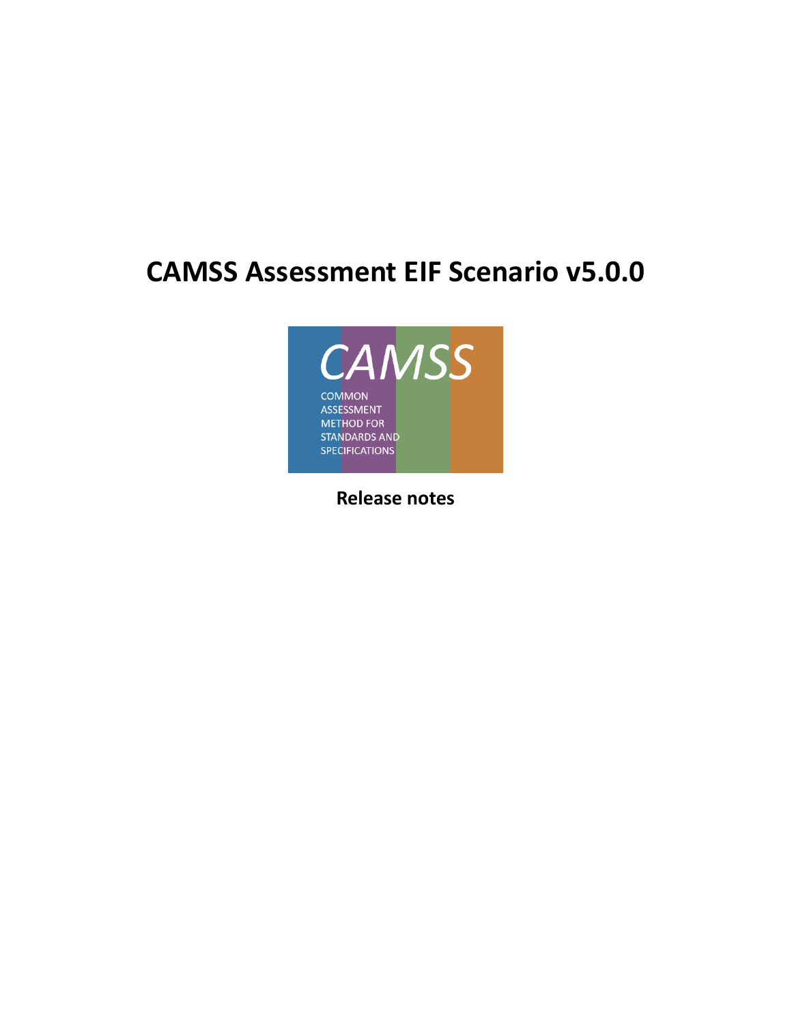# **CAMSS Assessment EIF Scenario v5.0.0**



**Release notes**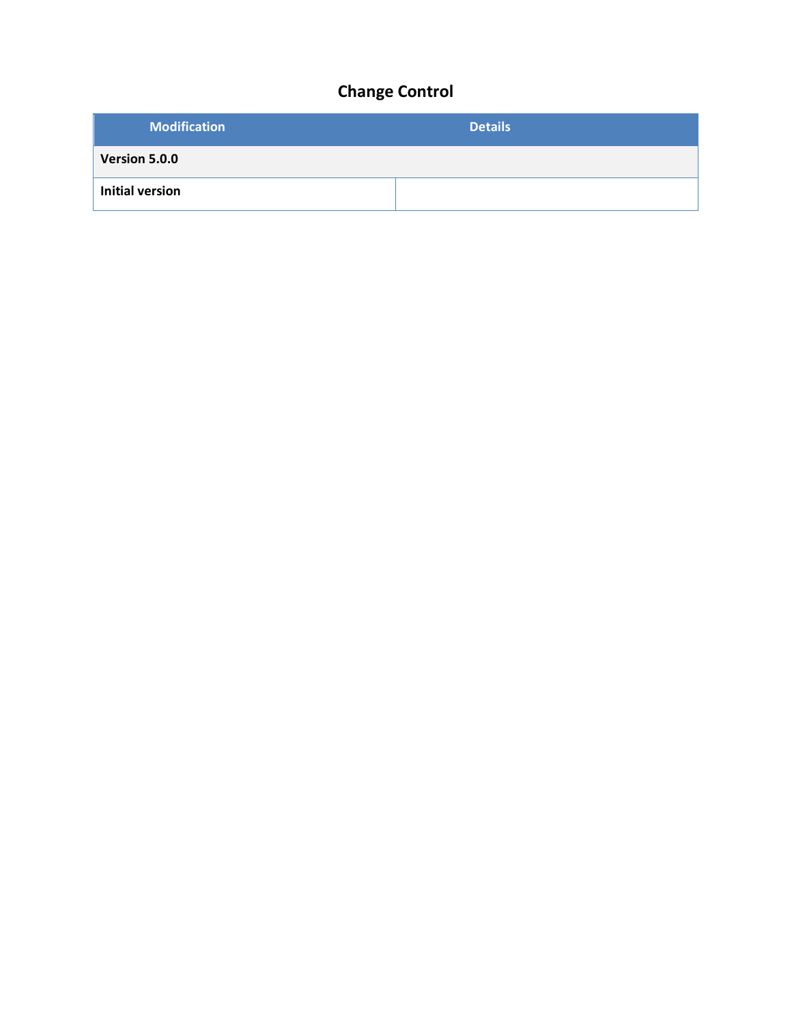## **Change Control**

| <b>Modification</b>    | <b>Details</b> |
|------------------------|----------------|
| Version 5.0.0          |                |
| <b>Initial version</b> |                |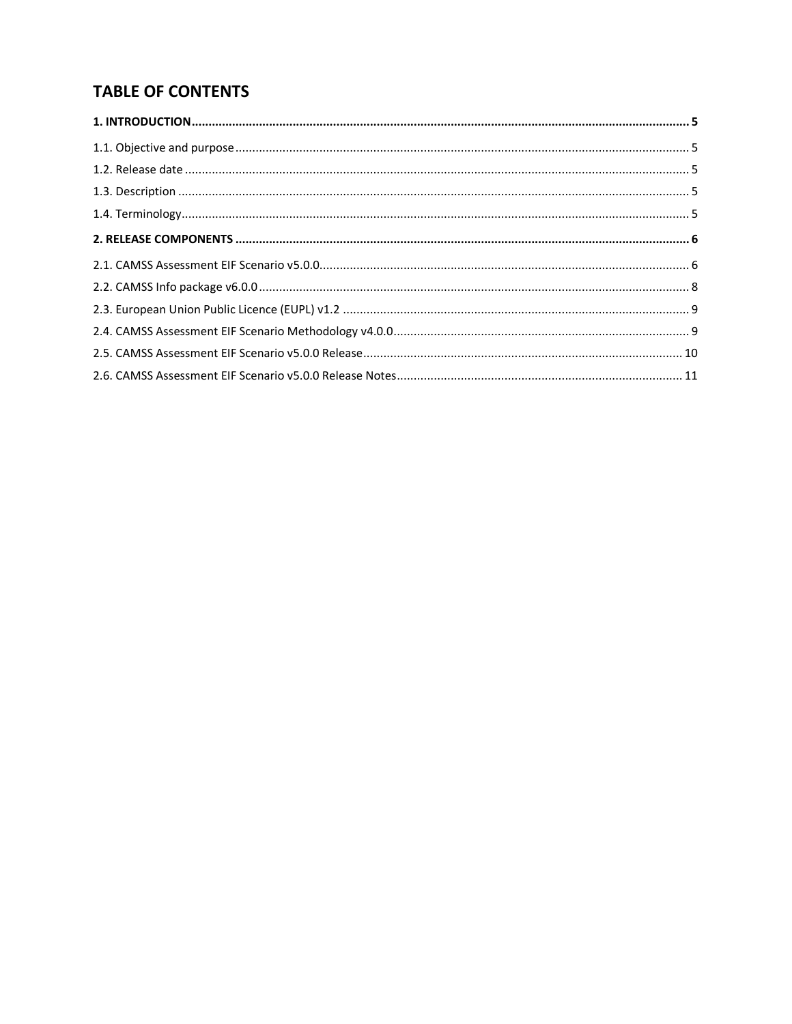## **TABLE OF CONTENTS**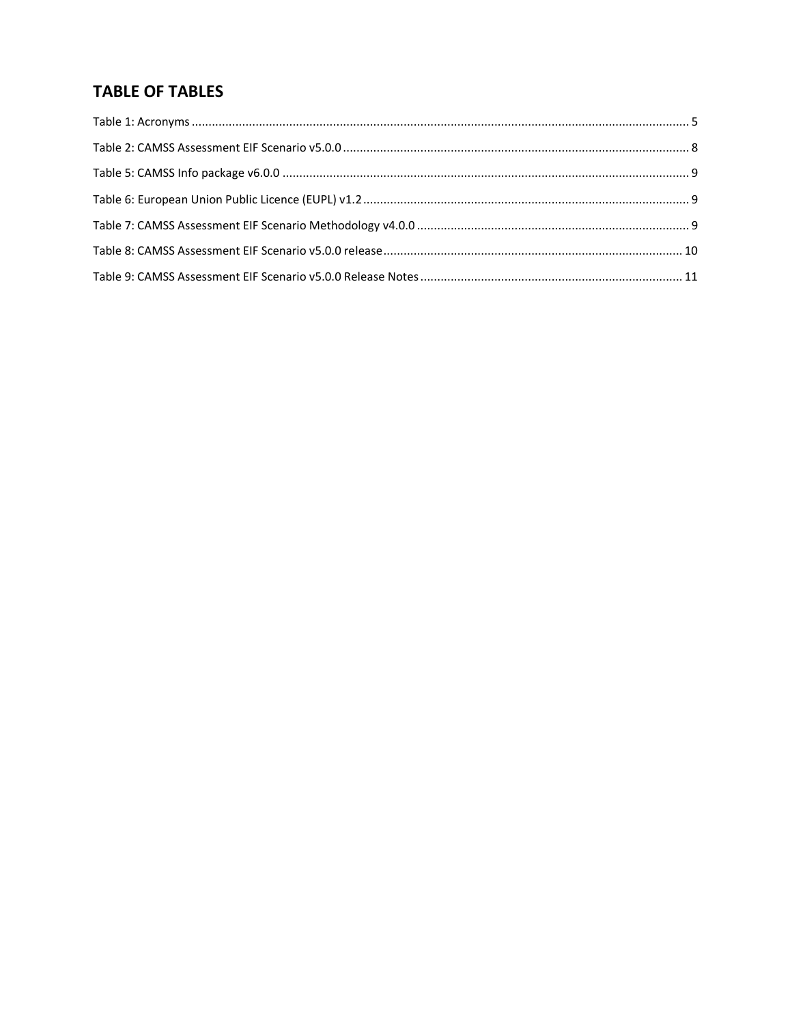## **TABLE OF TABLES**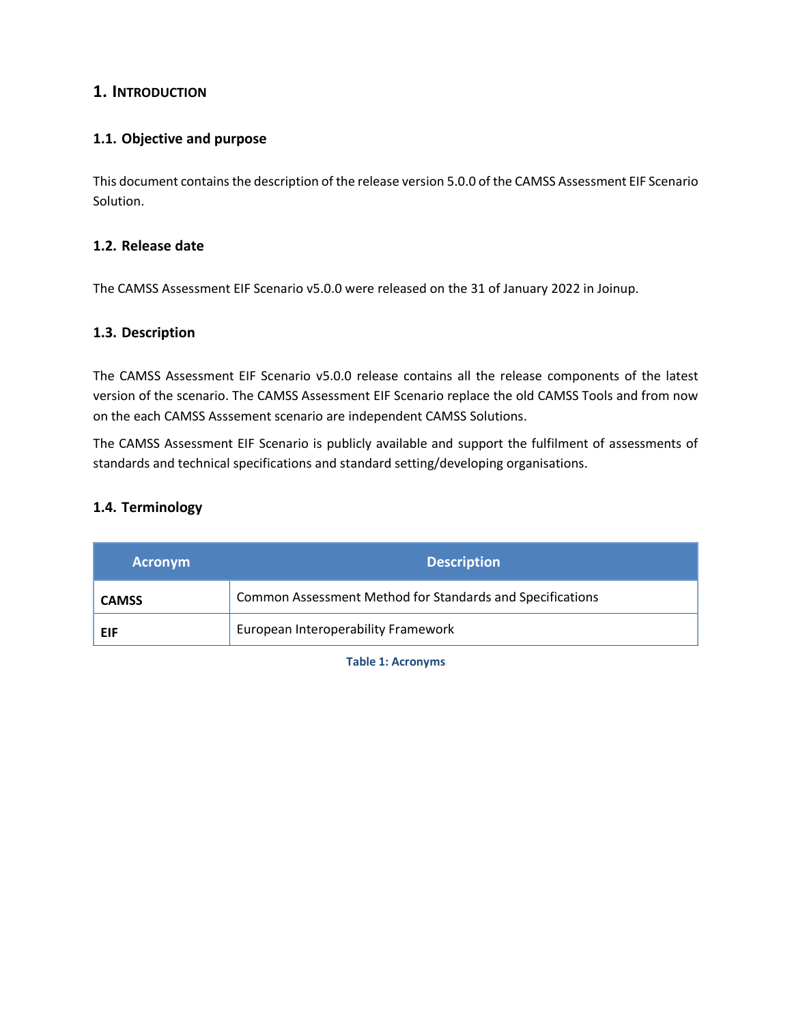## <span id="page-4-0"></span>**1. INTRODUCTION**

### <span id="page-4-1"></span>**1.1. Objective and purpose**

This document contains the description of the release version 5.0.0 of the CAMSS Assessment EIF Scenario Solution.

#### <span id="page-4-2"></span>**1.2. Release date**

The CAMSS Assessment EIF Scenario v5.0.0 were released on the 31 of January 2022 in Joinup.

#### <span id="page-4-3"></span>**1.3. Description**

The CAMSS Assessment EIF Scenario v5.0.0 release contains all the release components of the latest version of the scenario. The CAMSS Assessment EIF Scenario replace the old CAMSS Tools and from now on the each CAMSS Asssement scenario are independent CAMSS Solutions.

The CAMSS Assessment EIF Scenario is publicly available and support the fulfilment of assessments of standards and technical specifications and standard setting/developing organisations.

#### <span id="page-4-4"></span>**1.4. Terminology**

<span id="page-4-5"></span>

| <b>Acronym</b> | <b>Description</b>                                        |
|----------------|-----------------------------------------------------------|
| <b>CAMSS</b>   | Common Assessment Method for Standards and Specifications |
| EIF            | European Interoperability Framework                       |

**Table 1: Acronyms**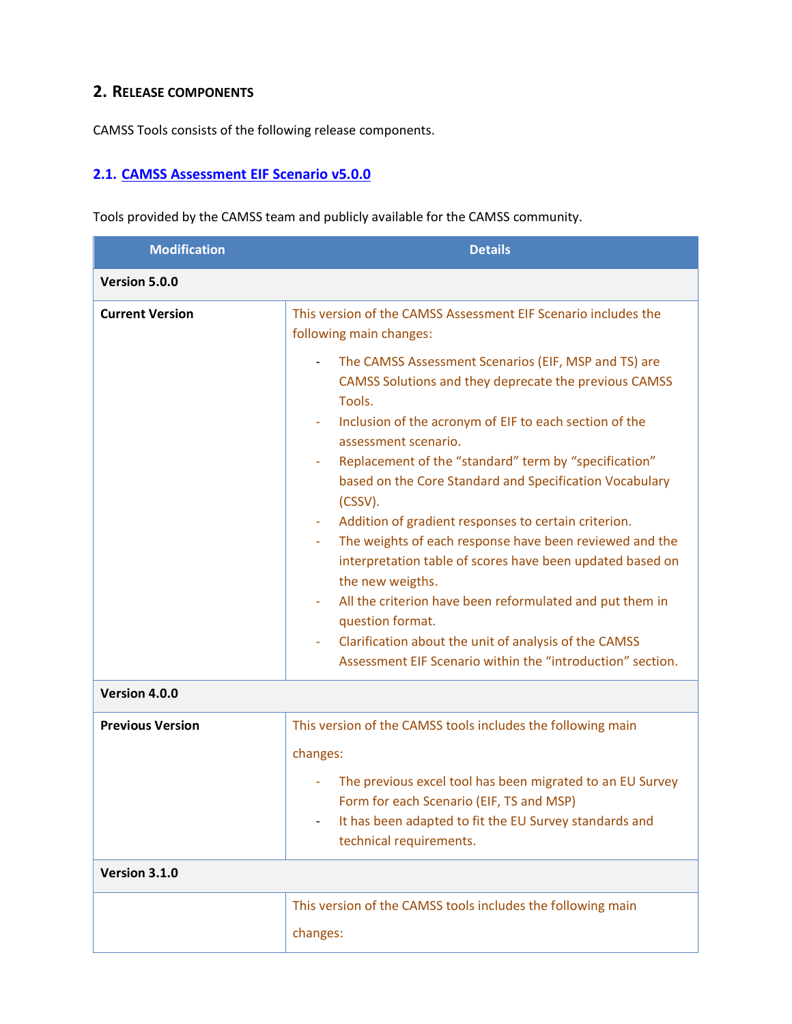## <span id="page-5-0"></span>**2. RELEASE COMPONENTS**

CAMSS Tools consists of the following release components.

## <span id="page-5-1"></span>**2.1. [CAMSS Assessment EIF Scenario](https://ec.europa.eu/eusurvey/runner/EIFScenario_v500) v5.0.0**

Tools provided by the CAMSS team and publicly available for the CAMSS community.

| <b>Modification</b>     | <b>Details</b>                                                                                                                                                                                                                                                                                                                                                                                                                                                                                                                                                                                                                                                                                                                                                                          |
|-------------------------|-----------------------------------------------------------------------------------------------------------------------------------------------------------------------------------------------------------------------------------------------------------------------------------------------------------------------------------------------------------------------------------------------------------------------------------------------------------------------------------------------------------------------------------------------------------------------------------------------------------------------------------------------------------------------------------------------------------------------------------------------------------------------------------------|
| Version 5.0.0           |                                                                                                                                                                                                                                                                                                                                                                                                                                                                                                                                                                                                                                                                                                                                                                                         |
| <b>Current Version</b>  | This version of the CAMSS Assessment EIF Scenario includes the<br>following main changes:                                                                                                                                                                                                                                                                                                                                                                                                                                                                                                                                                                                                                                                                                               |
|                         | The CAMSS Assessment Scenarios (EIF, MSP and TS) are<br>CAMSS Solutions and they deprecate the previous CAMSS<br>Tools.<br>Inclusion of the acronym of EIF to each section of the<br>assessment scenario.<br>Replacement of the "standard" term by "specification"<br>based on the Core Standard and Specification Vocabulary<br>(CSSV).<br>Addition of gradient responses to certain criterion.<br>The weights of each response have been reviewed and the<br>interpretation table of scores have been updated based on<br>the new weigths.<br>All the criterion have been reformulated and put them in<br>$\blacksquare$<br>question format.<br>Clarification about the unit of analysis of the CAMSS<br>$\blacksquare$<br>Assessment EIF Scenario within the "introduction" section. |
| Version 4.0.0           |                                                                                                                                                                                                                                                                                                                                                                                                                                                                                                                                                                                                                                                                                                                                                                                         |
| <b>Previous Version</b> | This version of the CAMSS tools includes the following main<br>changes:<br>The previous excel tool has been migrated to an EU Survey<br>Form for each Scenario (EIF, TS and MSP)<br>It has been adapted to fit the EU Survey standards and<br>technical requirements.                                                                                                                                                                                                                                                                                                                                                                                                                                                                                                                   |
| Version 3.1.0           |                                                                                                                                                                                                                                                                                                                                                                                                                                                                                                                                                                                                                                                                                                                                                                                         |
|                         | This version of the CAMSS tools includes the following main<br>changes:                                                                                                                                                                                                                                                                                                                                                                                                                                                                                                                                                                                                                                                                                                                 |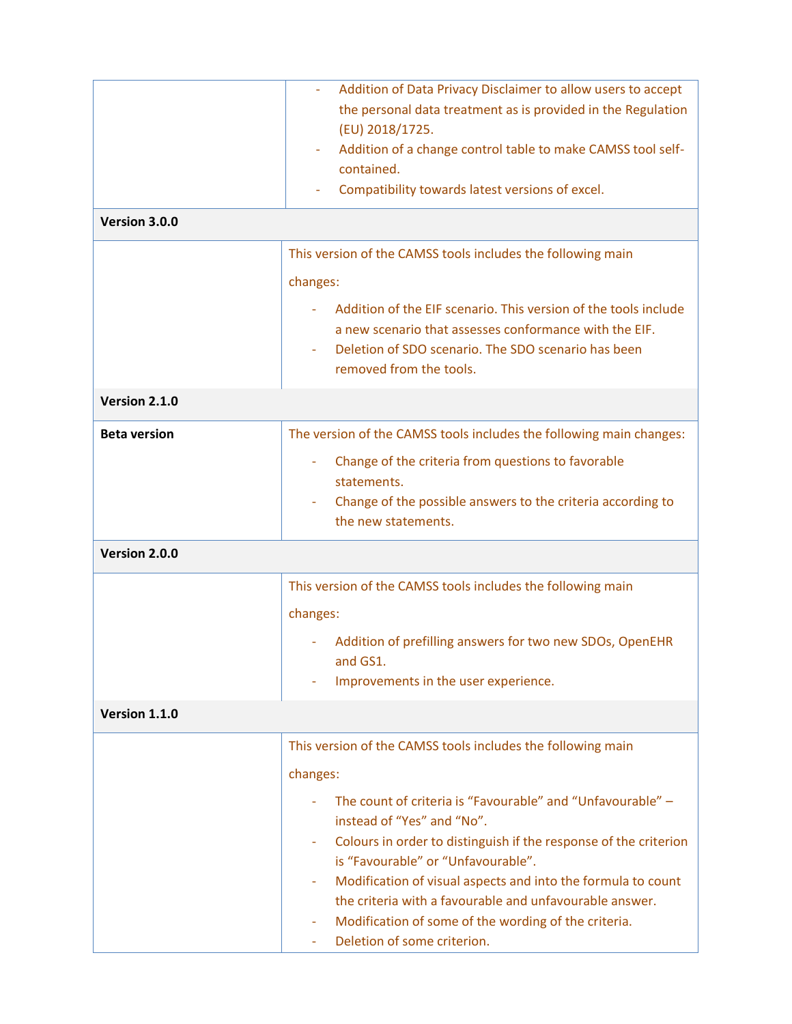|                     | Addition of Data Privacy Disclaimer to allow users to accept                                                                                                                                                |
|---------------------|-------------------------------------------------------------------------------------------------------------------------------------------------------------------------------------------------------------|
|                     | the personal data treatment as is provided in the Regulation<br>(EU) 2018/1725.                                                                                                                             |
|                     | Addition of a change control table to make CAMSS tool self-                                                                                                                                                 |
|                     | contained.                                                                                                                                                                                                  |
|                     | Compatibility towards latest versions of excel.                                                                                                                                                             |
| Version 3.0.0       |                                                                                                                                                                                                             |
|                     | This version of the CAMSS tools includes the following main                                                                                                                                                 |
|                     | changes:                                                                                                                                                                                                    |
|                     | Addition of the EIF scenario. This version of the tools include<br>a new scenario that assesses conformance with the EIF.<br>Deletion of SDO scenario. The SDO scenario has been<br>removed from the tools. |
| Version 2.1.0       |                                                                                                                                                                                                             |
| <b>Beta version</b> | The version of the CAMSS tools includes the following main changes:                                                                                                                                         |
|                     | Change of the criteria from questions to favorable                                                                                                                                                          |
|                     | statements.                                                                                                                                                                                                 |
|                     | Change of the possible answers to the criteria according to<br>the new statements.                                                                                                                          |
| Version 2.0.0       |                                                                                                                                                                                                             |
|                     | This version of the CAMSS tools includes the following main                                                                                                                                                 |
|                     | changes:                                                                                                                                                                                                    |
|                     | Addition of prefilling answers for two new SDOs, OpenEHR<br>and GS1.                                                                                                                                        |
|                     | Improvements in the user experience.                                                                                                                                                                        |
| Version 1.1.0       |                                                                                                                                                                                                             |
|                     | This version of the CAMSS tools includes the following main                                                                                                                                                 |
|                     | changes:                                                                                                                                                                                                    |
|                     | The count of criteria is "Favourable" and "Unfavourable" -<br>instead of "Yes" and "No".                                                                                                                    |
|                     | Colours in order to distinguish if the response of the criterion                                                                                                                                            |
|                     | is "Favourable" or "Unfavourable".                                                                                                                                                                          |
|                     | Modification of visual aspects and into the formula to count<br>the criteria with a favourable and unfavourable answer.                                                                                     |
|                     | Modification of some of the wording of the criteria.                                                                                                                                                        |
|                     | Deletion of some criterion.                                                                                                                                                                                 |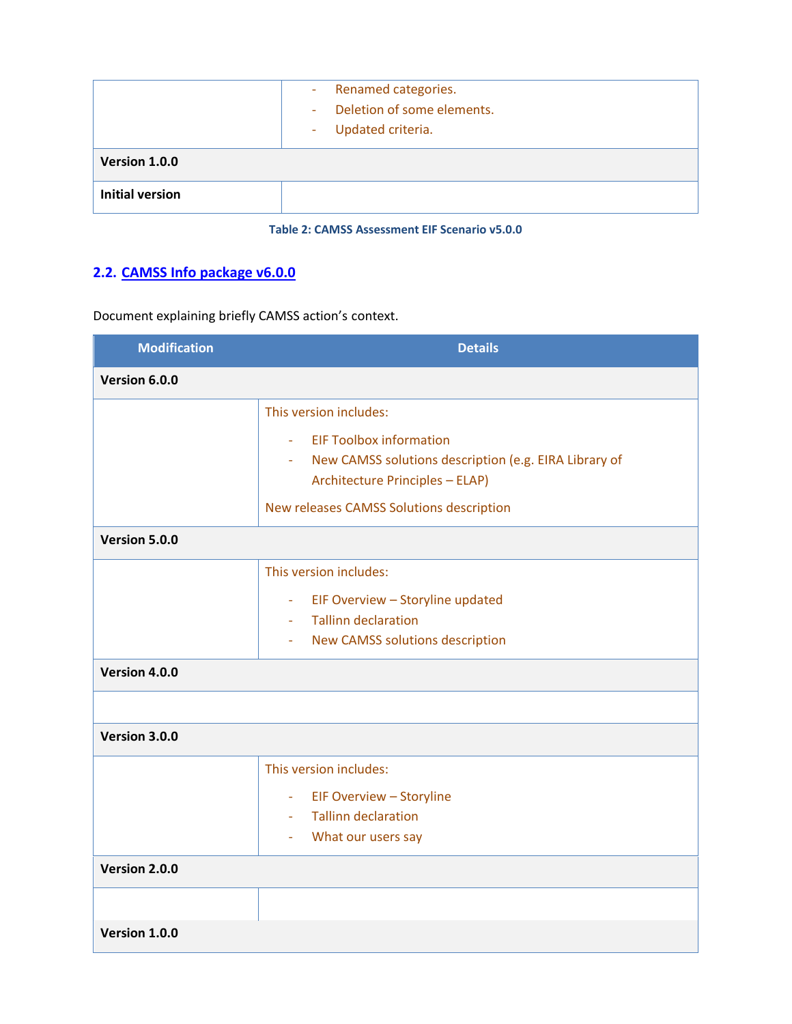|                        | - Renamed categories.<br>Deletion of some elements.<br>÷.<br>Updated criteria.<br>$\overline{\phantom{a}}$ |
|------------------------|------------------------------------------------------------------------------------------------------------|
| Version 1.0.0          |                                                                                                            |
| <b>Initial version</b> |                                                                                                            |

#### **Table 2: CAMSS Assessment EIF Scenario v5.0.0**

## <span id="page-7-1"></span><span id="page-7-0"></span>**2.2. [CAMSS Info package v6.0.0](https://joinup.ec.europa.eu/collection/common-assessment-method-standards-and-specifications-camss/solution/camss-assessment-eif-scenario/distribution/camss-info-package-v600)**

Document explaining briefly CAMSS action's context.

| <b>Modification</b> | <b>Details</b>                                                                                  |
|---------------------|-------------------------------------------------------------------------------------------------|
| Version 6.0.0       |                                                                                                 |
|                     | This version includes:                                                                          |
|                     | <b>EIF Toolbox information</b><br>÷.<br>- New CAMSS solutions description (e.g. EIRA Library of |
|                     | <b>Architecture Principles - ELAP)</b>                                                          |
|                     | New releases CAMSS Solutions description                                                        |
| Version 5.0.0       |                                                                                                 |
|                     | This version includes:                                                                          |
|                     | EIF Overview - Storyline updated<br>$\omega_{\rm{max}}$                                         |
|                     | - Tallinn declaration                                                                           |
|                     | - New CAMSS solutions description                                                               |
| Version 4.0.0       |                                                                                                 |
|                     |                                                                                                 |
| Version 3.0.0       |                                                                                                 |
|                     | This version includes:                                                                          |
|                     | - EIF Overview - Storyline                                                                      |
|                     | - Tallinn declaration                                                                           |
|                     | What our users say<br>$\bar{\phantom{a}}$                                                       |
| Version 2.0.0       |                                                                                                 |
|                     |                                                                                                 |
| Version 1.0.0       |                                                                                                 |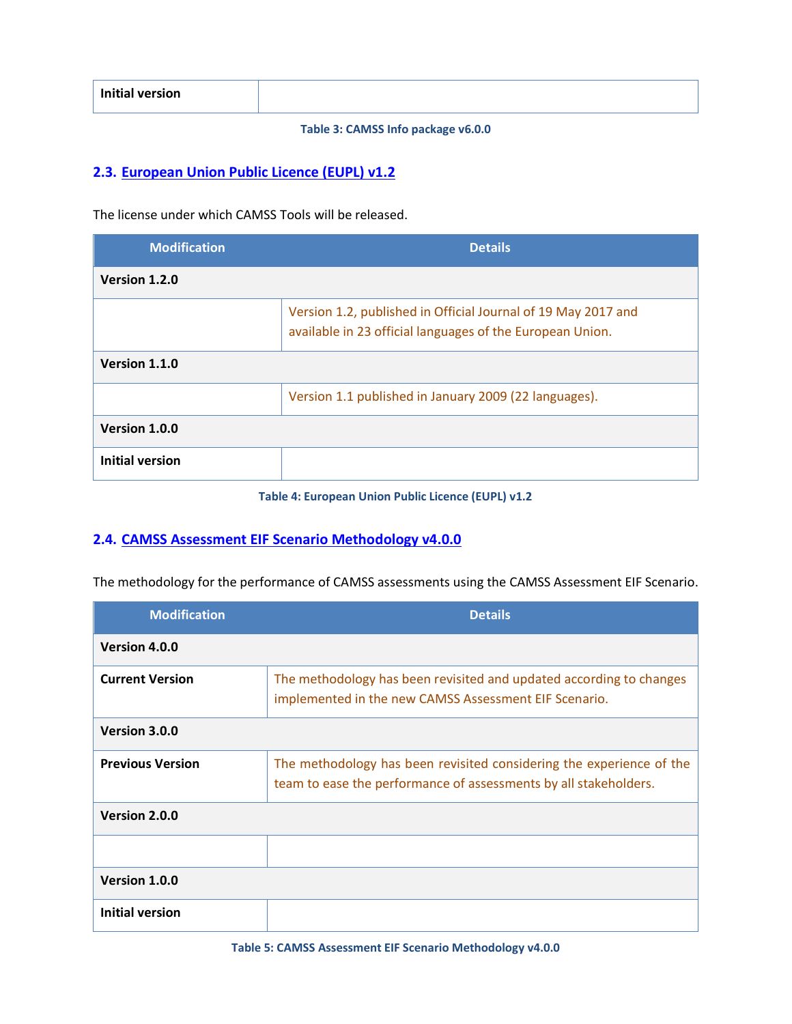<span id="page-8-2"></span>

|  | <b>Initial version</b> |  |
|--|------------------------|--|
|--|------------------------|--|

#### **Table 3: CAMSS Info package v6.0.0**

#### <span id="page-8-0"></span>**2.3. [European Union Public Licence \(EUPL\) v1.2](https://joinup.ec.europa.eu/collection/common-assessment-method-standards-and-specifications-camss/solution/camss-assessment-eif-scenario/distribution/european-union-public-licence-eupl-v12)**

The license under which CAMSS Tools will be released.

| <b>Modification</b>    | <b>Details</b>                                                                                                             |
|------------------------|----------------------------------------------------------------------------------------------------------------------------|
| Version 1.2.0          |                                                                                                                            |
|                        | Version 1.2, published in Official Journal of 19 May 2017 and<br>available in 23 official languages of the European Union. |
| Version 1.1.0          |                                                                                                                            |
|                        | Version 1.1 published in January 2009 (22 languages).                                                                      |
| Version 1.0.0          |                                                                                                                            |
| <b>Initial version</b> |                                                                                                                            |

**Table 4: European Union Public Licence (EUPL) v1.2**

#### <span id="page-8-3"></span><span id="page-8-1"></span>**2.4. [CAMSS Assessment EIF Scenario Methodology](https://joinup.ec.europa.eu/collection/common-assessment-method-standards-and-specifications-camss/solution/camss-assessment-eif-scenario/distribution/camss-assessment-eif-scenario-methodology-v400) v4.0.0**

The methodology for the performance of CAMSS assessments using the CAMSS Assessment EIF Scenario.

<span id="page-8-4"></span>

| <b>Modification</b>     | <b>Details</b>                                                                                                                           |
|-------------------------|------------------------------------------------------------------------------------------------------------------------------------------|
| Version 4.0.0           |                                                                                                                                          |
| <b>Current Version</b>  | The methodology has been revisited and updated according to changes<br>implemented in the new CAMSS Assessment EIF Scenario.             |
| Version 3.0.0           |                                                                                                                                          |
| <b>Previous Version</b> | The methodology has been revisited considering the experience of the<br>team to ease the performance of assessments by all stakeholders. |
| Version 2.0.0           |                                                                                                                                          |
|                         |                                                                                                                                          |
| Version 1.0.0           |                                                                                                                                          |
| <b>Initial version</b>  |                                                                                                                                          |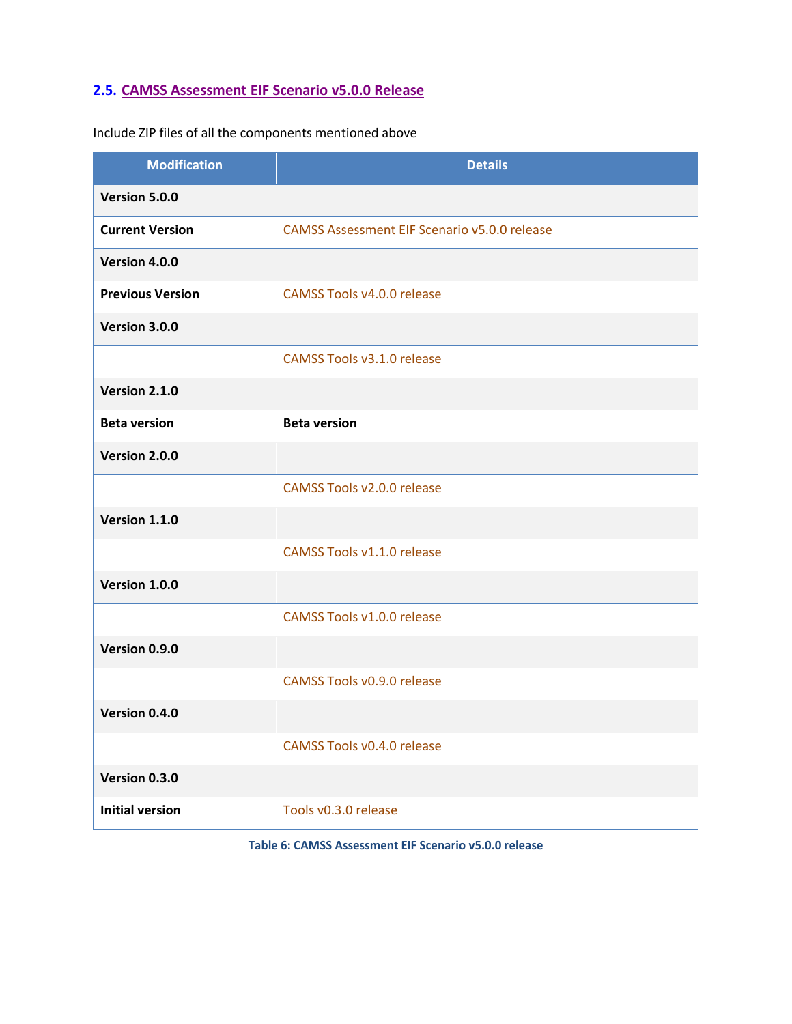## <span id="page-9-0"></span>**2.5. CAMSS Assessment EIF Scenario v5.0.0 Release**

Incl[ude ZIP files of all the components mentioned above](https://joinup.ec.europa.eu/collection/common-assessment-method-standards-and-specifications-camss/solution/camss-assessment-eif-scenario/distribution/camss-assessment-eif-scenario-v500-release)

| <b>Modification</b>     | <b>Details</b>                                      |
|-------------------------|-----------------------------------------------------|
| Version 5.0.0           |                                                     |
| <b>Current Version</b>  | <b>CAMSS Assessment EIF Scenario v5.0.0 release</b> |
| Version 4.0.0           |                                                     |
| <b>Previous Version</b> | <b>CAMSS Tools v4.0.0 release</b>                   |
| Version 3.0.0           |                                                     |
|                         | <b>CAMSS Tools v3.1.0 release</b>                   |
| Version 2.1.0           |                                                     |
| <b>Beta version</b>     | <b>Beta version</b>                                 |
| Version 2.0.0           |                                                     |
|                         | <b>CAMSS Tools v2.0.0 release</b>                   |
| Version 1.1.0           |                                                     |
|                         | <b>CAMSS Tools v1.1.0 release</b>                   |
| Version 1.0.0           |                                                     |
|                         | CAMSS Tools v1.0.0 release                          |
| Version 0.9.0           |                                                     |
|                         | CAMSS Tools v0.9.0 release                          |
| Version 0.4.0           |                                                     |
|                         | <b>CAMSS Tools v0.4.0 release</b>                   |
| Version 0.3.0           |                                                     |
| <b>Initial version</b>  | Tools v0.3.0 release                                |

<span id="page-9-1"></span>**Table 6: CAMSS Assessment EIF Scenario v5.0.0 release**